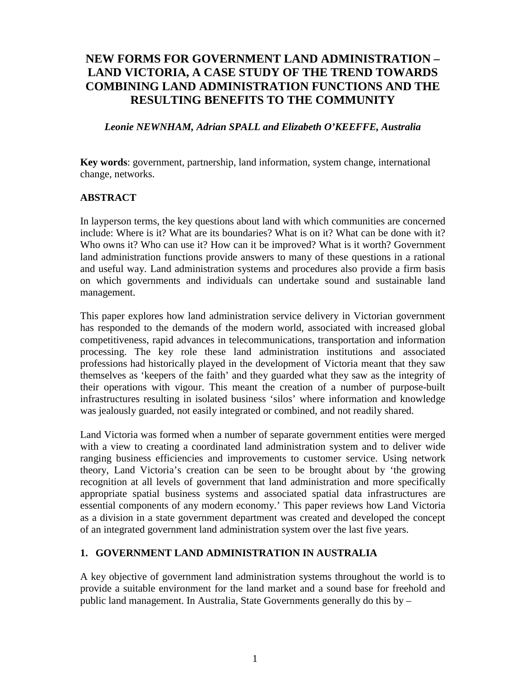# **NEW FORMS FOR GOVERNMENT LAND ADMINISTRATION – LAND VICTORIA, A CASE STUDY OF THE TREND TOWARDS COMBINING LAND ADMINISTRATION FUNCTIONS AND THE RESULTING BENEFITS TO THE COMMUNITY**

#### *Leonie NEWNHAM, Adrian SPALL and Elizabeth O'KEEFFE, Australia*

**Key words**: government, partnership, land information, system change, international change, networks.

#### **ABSTRACT**

In layperson terms, the key questions about land with which communities are concerned include: Where is it? What are its boundaries? What is on it? What can be done with it? Who owns it? Who can use it? How can it be improved? What is it worth? Government land administration functions provide answers to many of these questions in a rational and useful way. Land administration systems and procedures also provide a firm basis on which governments and individuals can undertake sound and sustainable land management.

This paper explores how land administration service delivery in Victorian government has responded to the demands of the modern world, associated with increased global competitiveness, rapid advances in telecommunications, transportation and information processing. The key role these land administration institutions and associated professions had historically played in the development of Victoria meant that they saw themselves as 'keepers of the faith' and they guarded what they saw as the integrity of their operations with vigour. This meant the creation of a number of purpose-built infrastructures resulting in isolated business 'silos' where information and knowledge was jealously guarded, not easily integrated or combined, and not readily shared.

Land Victoria was formed when a number of separate government entities were merged with a view to creating a coordinated land administration system and to deliver wide ranging business efficiencies and improvements to customer service. Using network theory, Land Victoria's creation can be seen to be brought about by 'the growing recognition at all levels of government that land administration and more specifically appropriate spatial business systems and associated spatial data infrastructures are essential components of any modern economy.' This paper reviews how Land Victoria as a division in a state government department was created and developed the concept of an integrated government land administration system over the last five years.

#### **1. GOVERNMENT LAND ADMINISTRATION IN AUSTRALIA**

A key objective of government land administration systems throughout the world is to provide a suitable environment for the land market and a sound base for freehold and public land management. In Australia, State Governments generally do this by –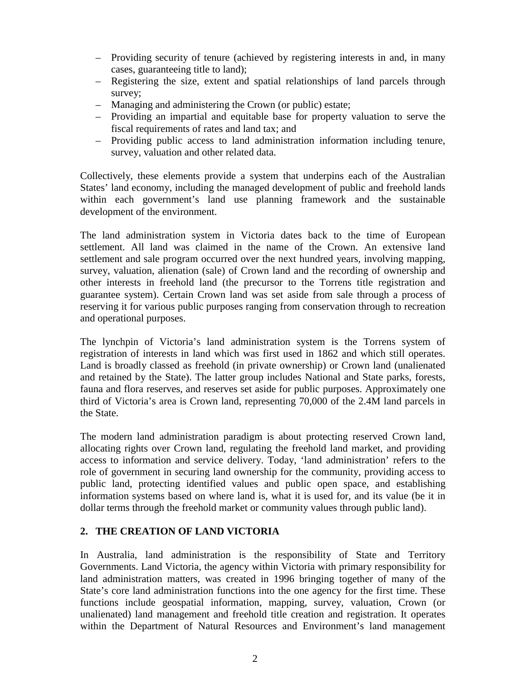- Providing security of tenure (achieved by registering interests in and, in many cases, guaranteeing title to land);
- Registering the size, extent and spatial relationships of land parcels through survey;
- Managing and administering the Crown (or public) estate;
- Providing an impartial and equitable base for property valuation to serve the fiscal requirements of rates and land tax; and
- Providing public access to land administration information including tenure, survey, valuation and other related data.

Collectively, these elements provide a system that underpins each of the Australian States' land economy, including the managed development of public and freehold lands within each government's land use planning framework and the sustainable development of the environment.

The land administration system in Victoria dates back to the time of European settlement. All land was claimed in the name of the Crown. An extensive land settlement and sale program occurred over the next hundred years, involving mapping, survey, valuation, alienation (sale) of Crown land and the recording of ownership and other interests in freehold land (the precursor to the Torrens title registration and guarantee system). Certain Crown land was set aside from sale through a process of reserving it for various public purposes ranging from conservation through to recreation and operational purposes.

The lynchpin of Victoria's land administration system is the Torrens system of registration of interests in land which was first used in 1862 and which still operates. Land is broadly classed as freehold (in private ownership) or Crown land (unalienated and retained by the State). The latter group includes National and State parks, forests, fauna and flora reserves, and reserves set aside for public purposes. Approximately one third of Victoria's area is Crown land, representing 70,000 of the 2.4M land parcels in the State.

The modern land administration paradigm is about protecting reserved Crown land, allocating rights over Crown land, regulating the freehold land market, and providing access to information and service delivery. Today, 'land administration' refers to the role of government in securing land ownership for the community, providing access to public land, protecting identified values and public open space, and establishing information systems based on where land is, what it is used for, and its value (be it in dollar terms through the freehold market or community values through public land).

### **2. THE CREATION OF LAND VICTORIA**

In Australia, land administration is the responsibility of State and Territory Governments. Land Victoria, the agency within Victoria with primary responsibility for land administration matters, was created in 1996 bringing together of many of the State's core land administration functions into the one agency for the first time. These functions include geospatial information, mapping, survey, valuation, Crown (or unalienated) land management and freehold title creation and registration. It operates within the Department of Natural Resources and Environment's land management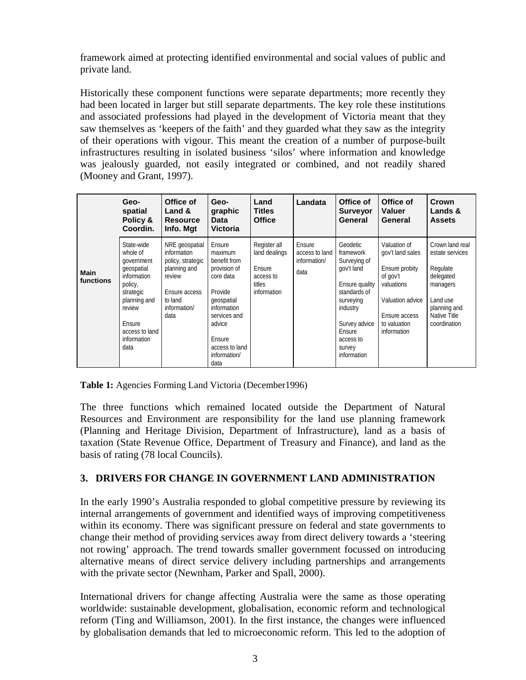framework aimed at protecting identified environmental and social values of public and private land.

Historically these component functions were separate departments; more recently they had been located in larger but still separate departments. The key role these institutions and associated professions had played in the development of Victoria meant that they saw themselves as 'keepers of the faith' and they guarded what they saw as the integrity of their operations with vigour. This meant the creation of a number of purpose-built infrastructures resulting in isolated business 'silos' where information and knowledge was jealously guarded, not easily integrated or combined, and not readily shared (Mooney and Grant, 1997).

|                          | Geo-<br>spatial<br>Policy &<br>Coordin.                                                                                                                                | Office of<br>Land &<br><b>Resource</b><br>Info. Mgt                                                                              | Geo-<br>graphic<br>Data<br><b>Victoria</b>                                                                                                                                           | Land<br><b>Titles</b><br><b>Office</b>                                        | Landata                                          | Office of<br><b>Surveyor</b><br>General                                                                                                                                         | Office of<br><b>Valuer</b><br>General                                                                                                            | Crown<br>Lands &<br><b>Assets</b>                                                                                                   |
|--------------------------|------------------------------------------------------------------------------------------------------------------------------------------------------------------------|----------------------------------------------------------------------------------------------------------------------------------|--------------------------------------------------------------------------------------------------------------------------------------------------------------------------------------|-------------------------------------------------------------------------------|--------------------------------------------------|---------------------------------------------------------------------------------------------------------------------------------------------------------------------------------|--------------------------------------------------------------------------------------------------------------------------------------------------|-------------------------------------------------------------------------------------------------------------------------------------|
| <b>Main</b><br>functions | State-wide<br>whole of<br>government<br>qeospatial<br>information<br>policy,<br>strategic<br>planning and<br>review<br>Ensure<br>access to land<br>information<br>data | NRE geospatial<br>information<br>policy, strategic<br>planning and<br>review<br>Ensure access<br>to land<br>information/<br>data | Ensure<br>maximum<br>benefit from<br>provision of<br>core data<br>Provide<br>geospatial<br>information<br>services and<br>advice<br>Ensure<br>access to land<br>information/<br>data | Register all<br>land dealings<br>Ensure<br>access to<br>titles<br>information | Ensure<br>access to land<br>information/<br>data | Geodetic<br>framework<br>Surveying of<br>gov't land<br>Ensure quality<br>standards of<br>surveying<br>industry<br>Survey advice<br>Ensure<br>access to<br>survey<br>information | Valuation of<br>gov't land sales<br>Ensure probity<br>of gov't<br>valuations<br>Valuation advice<br>Ensure access<br>to valuation<br>information | Crown land real<br>estate services<br>Regulate<br>delegated<br>managers<br>Land use<br>planning and<br>Native Title<br>coordination |

**Table 1:** Agencies Forming Land Victoria (December1996)

The three functions which remained located outside the Department of Natural Resources and Environment are responsibility for the land use planning framework (Planning and Heritage Division, Department of Infrastructure), land as a basis of taxation (State Revenue Office, Department of Treasury and Finance), and land as the basis of rating (78 local Councils).

#### **3. DRIVERS FOR CHANGE IN GOVERNMENT LAND ADMINISTRATION**

In the early 1990's Australia responded to global competitive pressure by reviewing its internal arrangements of government and identified ways of improving competitiveness within its economy. There was significant pressure on federal and state governments to change their method of providing services away from direct delivery towards a 'steering not rowing' approach. The trend towards smaller government focussed on introducing alternative means of direct service delivery including partnerships and arrangements with the private sector (Newnham, Parker and Spall, 2000).

International drivers for change affecting Australia were the same as those operating worldwide: sustainable development, globalisation, economic reform and technological reform (Ting and Williamson, 2001). In the first instance, the changes were influenced by globalisation demands that led to microeconomic reform. This led to the adoption of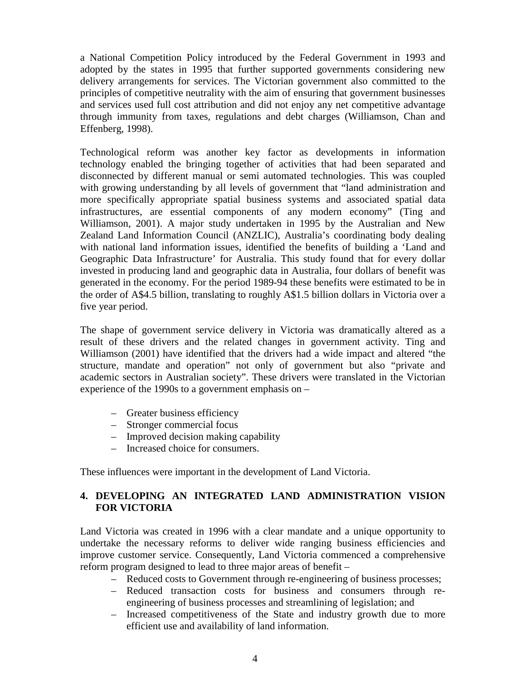a National Competition Policy introduced by the Federal Government in 1993 and adopted by the states in 1995 that further supported governments considering new delivery arrangements for services. The Victorian government also committed to the principles of competitive neutrality with the aim of ensuring that government businesses and services used full cost attribution and did not enjoy any net competitive advantage through immunity from taxes, regulations and debt charges (Williamson, Chan and Effenberg, 1998).

Technological reform was another key factor as developments in information technology enabled the bringing together of activities that had been separated and disconnected by different manual or semi automated technologies. This was coupled with growing understanding by all levels of government that "land administration and more specifically appropriate spatial business systems and associated spatial data infrastructures, are essential components of any modern economy" (Ting and Williamson, 2001). A major study undertaken in 1995 by the Australian and New Zealand Land Information Council (ANZLIC), Australia's coordinating body dealing with national land information issues, identified the benefits of building a 'Land and Geographic Data Infrastructure' for Australia. This study found that for every dollar invested in producing land and geographic data in Australia, four dollars of benefit was generated in the economy. For the period 1989-94 these benefits were estimated to be in the order of A\$4.5 billion, translating to roughly A\$1.5 billion dollars in Victoria over a five year period.

The shape of government service delivery in Victoria was dramatically altered as a result of these drivers and the related changes in government activity. Ting and Williamson (2001) have identified that the drivers had a wide impact and altered "the structure, mandate and operation" not only of government but also "private and academic sectors in Australian society". These drivers were translated in the Victorian experience of the 1990s to a government emphasis on –

- Greater business efficiency
- Stronger commercial focus
- Improved decision making capability
- Increased choice for consumers.

These influences were important in the development of Land Victoria.

### **4. DEVELOPING AN INTEGRATED LAND ADMINISTRATION VISION FOR VICTORIA**

Land Victoria was created in 1996 with a clear mandate and a unique opportunity to undertake the necessary reforms to deliver wide ranging business efficiencies and improve customer service. Consequently, Land Victoria commenced a comprehensive reform program designed to lead to three major areas of benefit –

- Reduced costs to Government through re-engineering of business processes;
- Reduced transaction costs for business and consumers through reengineering of business processes and streamlining of legislation; and
- Increased competitiveness of the State and industry growth due to more efficient use and availability of land information.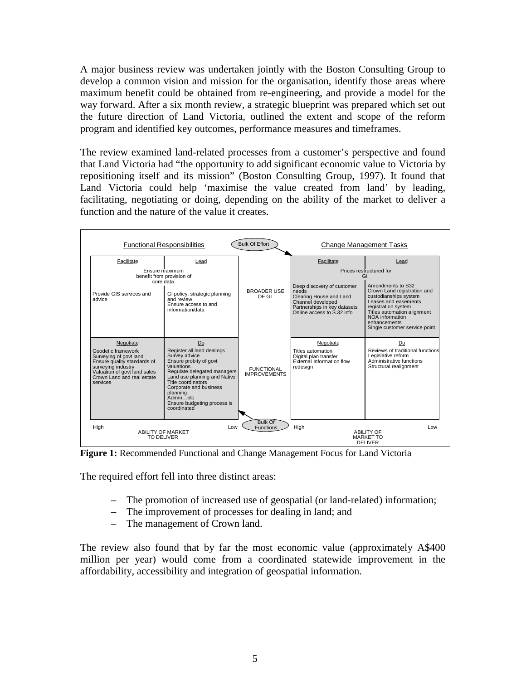A major business review was undertaken jointly with the Boston Consulting Group to develop a common vision and mission for the organisation, identify those areas where maximum benefit could be obtained from re-engineering, and provide a model for the way forward. After a six month review, a strategic blueprint was prepared which set out the future direction of Land Victoria, outlined the extent and scope of the reform program and identified key outcomes, performance measures and timeframes.

The review examined land-related processes from a customer's perspective and found that Land Victoria had "the opportunity to add significant economic value to Victoria by repositioning itself and its mission" (Boston Consulting Group, 1997). It found that Land Victoria could help 'maximise the value created from land' by leading, facilitating, negotiating or doing, depending on the ability of the market to deliver a function and the nature of the value it creates.



**Figure 1:** Recommended Functional and Change Management Focus for Land Victoria

The required effort fell into three distinct areas:

- The promotion of increased use of geospatial (or land-related) information;
- The improvement of processes for dealing in land; and
- The management of Crown land.

The review also found that by far the most economic value (approximately A\$400 million per year) would come from a coordinated statewide improvement in the affordability, accessibility and integration of geospatial information.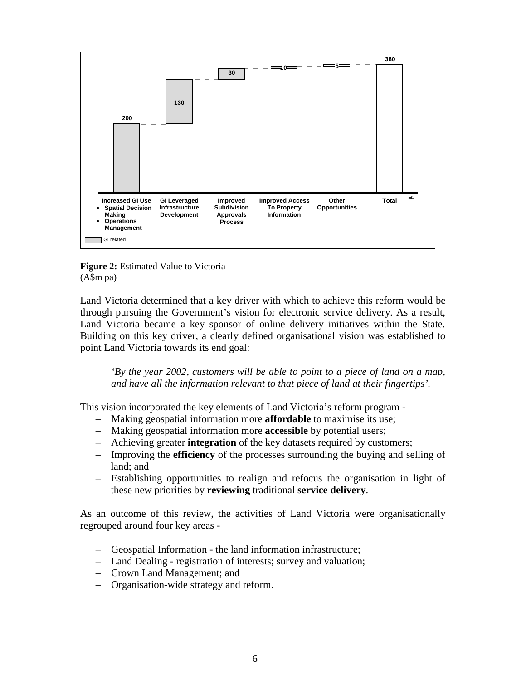

**Figure 2:** Estimated Value to Victoria (A\$m pa)

Land Victoria determined that a key driver with which to achieve this reform would be through pursuing the Government's vision for electronic service delivery. As a result, Land Victoria became a key sponsor of online delivery initiatives within the State. Building on this key driver, a clearly defined organisational vision was established to point Land Victoria towards its end goal:

*'By the year 2002, customers will be able to point to a piece of land on a map, and have all the information relevant to that piece of land at their fingertips'.*

This vision incorporated the key elements of Land Victoria's reform program -

- Making geospatial information more **affordable** to maximise its use;
- Making geospatial information more **accessible** by potential users;
- Achieving greater **integration** of the key datasets required by customers;
- Improving the **efficiency** of the processes surrounding the buying and selling of land; and
- Establishing opportunities to realign and refocus the organisation in light of these new priorities by **reviewing** traditional **service delivery**.

As an outcome of this review, the activities of Land Victoria were organisationally regrouped around four key areas -

- Geospatial Information the land information infrastructure;
- Land Dealing registration of interests; survey and valuation;
- Crown Land Management; and
- Organisation-wide strategy and reform.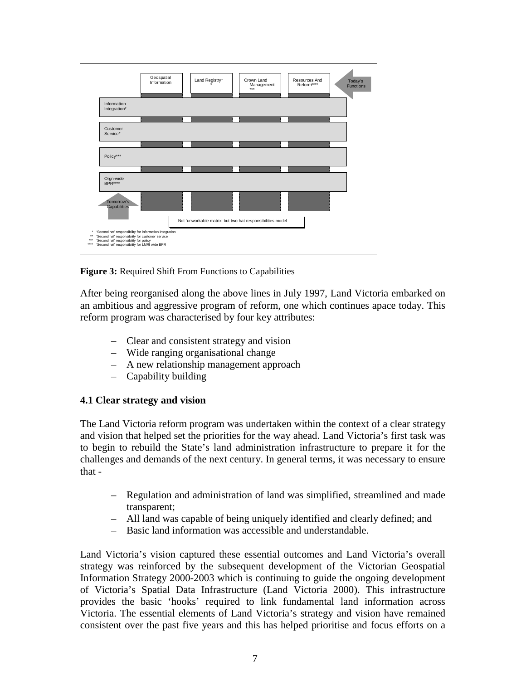

**Figure 3:** Required Shift From Functions to Capabilities

After being reorganised along the above lines in July 1997, Land Victoria embarked on an ambitious and aggressive program of reform, one which continues apace today. This reform program was characterised by four key attributes:

- Clear and consistent strategy and vision
- Wide ranging organisational change
- A new relationship management approach
- Capability building

#### **4.1 Clear strategy and vision**

The Land Victoria reform program was undertaken within the context of a clear strategy and vision that helped set the priorities for the way ahead. Land Victoria's first task was to begin to rebuild the State's land administration infrastructure to prepare it for the challenges and demands of the next century. In general terms, it was necessary to ensure that -

- Regulation and administration of land was simplified, streamlined and made transparent;
- All land was capable of being uniquely identified and clearly defined; and
- Basic land information was accessible and understandable.

Land Victoria's vision captured these essential outcomes and Land Victoria's overall strategy was reinforced by the subsequent development of the Victorian Geospatial Information Strategy 2000-2003 which is continuing to guide the ongoing development of Victoria's Spatial Data Infrastructure (Land Victoria 2000). This infrastructure provides the basic 'hooks' required to link fundamental land information across Victoria. The essential elements of Land Victoria's strategy and vision have remained consistent over the past five years and this has helped prioritise and focus efforts on a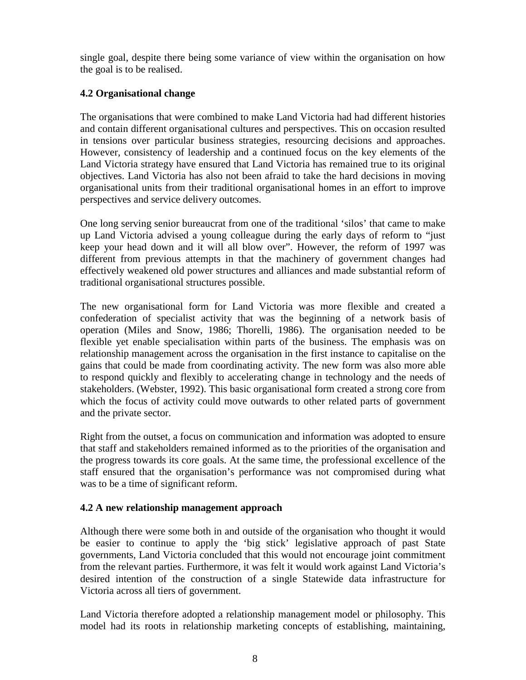single goal, despite there being some variance of view within the organisation on how the goal is to be realised.

#### **4.2 Organisational change**

The organisations that were combined to make Land Victoria had had different histories and contain different organisational cultures and perspectives. This on occasion resulted in tensions over particular business strategies, resourcing decisions and approaches. However, consistency of leadership and a continued focus on the key elements of the Land Victoria strategy have ensured that Land Victoria has remained true to its original objectives. Land Victoria has also not been afraid to take the hard decisions in moving organisational units from their traditional organisational homes in an effort to improve perspectives and service delivery outcomes.

One long serving senior bureaucrat from one of the traditional 'silos' that came to make up Land Victoria advised a young colleague during the early days of reform to "just keep your head down and it will all blow over". However, the reform of 1997 was different from previous attempts in that the machinery of government changes had effectively weakened old power structures and alliances and made substantial reform of traditional organisational structures possible.

The new organisational form for Land Victoria was more flexible and created a confederation of specialist activity that was the beginning of a network basis of operation (Miles and Snow, 1986; Thorelli, 1986). The organisation needed to be flexible yet enable specialisation within parts of the business. The emphasis was on relationship management across the organisation in the first instance to capitalise on the gains that could be made from coordinating activity. The new form was also more able to respond quickly and flexibly to accelerating change in technology and the needs of stakeholders. (Webster, 1992). This basic organisational form created a strong core from which the focus of activity could move outwards to other related parts of government and the private sector.

Right from the outset, a focus on communication and information was adopted to ensure that staff and stakeholders remained informed as to the priorities of the organisation and the progress towards its core goals. At the same time, the professional excellence of the staff ensured that the organisation's performance was not compromised during what was to be a time of significant reform.

### **4.2 A new relationship management approach**

Although there were some both in and outside of the organisation who thought it would be easier to continue to apply the 'big stick' legislative approach of past State governments, Land Victoria concluded that this would not encourage joint commitment from the relevant parties. Furthermore, it was felt it would work against Land Victoria's desired intention of the construction of a single Statewide data infrastructure for Victoria across all tiers of government.

Land Victoria therefore adopted a relationship management model or philosophy. This model had its roots in relationship marketing concepts of establishing, maintaining,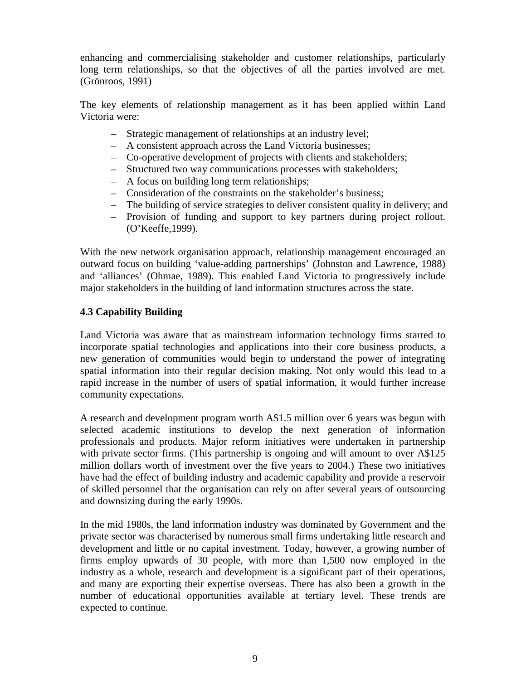enhancing and commercialising stakeholder and customer relationships, particularly long term relationships, so that the objectives of all the parties involved are met. (Grönroos, 1991)

The key elements of relationship management as it has been applied within Land Victoria were:

- Strategic management of relationships at an industry level;
- A consistent approach across the Land Victoria businesses;
- Co-operative development of projects with clients and stakeholders;
- Structured two way communications processes with stakeholders;
- A focus on building long term relationships;
- Consideration of the constraints on the stakeholder's business;
- The building of service strategies to deliver consistent quality in delivery; and
- Provision of funding and support to key partners during project rollout. (O'Keeffe,1999).

With the new network organisation approach, relationship management encouraged an outward focus on building 'value-adding partnerships' (Johnston and Lawrence, 1988) and 'alliances' (Ohmae, 1989). This enabled Land Victoria to progressively include major stakeholders in the building of land information structures across the state.

### **4.3 Capability Building**

Land Victoria was aware that as mainstream information technology firms started to incorporate spatial technologies and applications into their core business products, a new generation of communities would begin to understand the power of integrating spatial information into their regular decision making. Not only would this lead to a rapid increase in the number of users of spatial information, it would further increase community expectations.

A research and development program worth A\$1.5 million over 6 years was begun with selected academic institutions to develop the next generation of information professionals and products. Major reform initiatives were undertaken in partnership with private sector firms. (This partnership is ongoing and will amount to over A\$125 million dollars worth of investment over the five years to 2004.) These two initiatives have had the effect of building industry and academic capability and provide a reservoir of skilled personnel that the organisation can rely on after several years of outsourcing and downsizing during the early 1990s.

In the mid 1980s, the land information industry was dominated by Government and the private sector was characterised by numerous small firms undertaking little research and development and little or no capital investment. Today, however, a growing number of firms employ upwards of 30 people, with more than 1,500 now employed in the industry as a whole, research and development is a significant part of their operations, and many are exporting their expertise overseas. There has also been a growth in the number of educational opportunities available at tertiary level. These trends are expected to continue.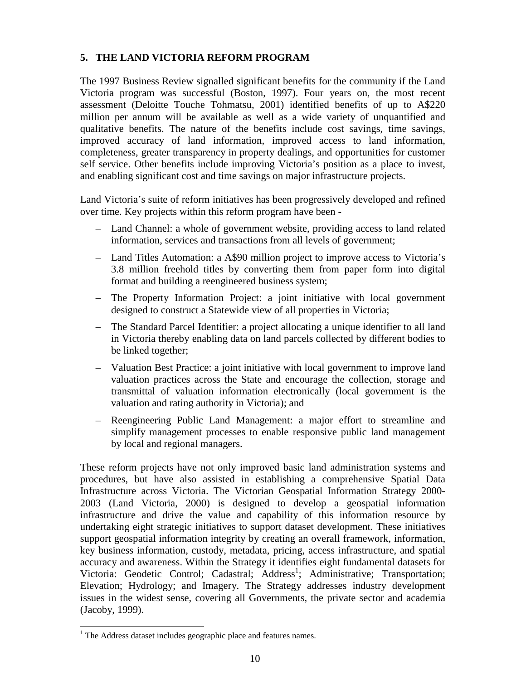## **5. THE LAND VICTORIA REFORM PROGRAM**

The 1997 Business Review signalled significant benefits for the community if the Land Victoria program was successful (Boston, 1997). Four years on, the most recent assessment (Deloitte Touche Tohmatsu, 2001) identified benefits of up to A\$220 million per annum will be available as well as a wide variety of unquantified and qualitative benefits. The nature of the benefits include cost savings, time savings, improved accuracy of land information, improved access to land information, completeness, greater transparency in property dealings, and opportunities for customer self service. Other benefits include improving Victoria's position as a place to invest, and enabling significant cost and time savings on major infrastructure projects.

Land Victoria's suite of reform initiatives has been progressively developed and refined over time. Key projects within this reform program have been -

- Land Channel: a whole of government website, providing access to land related information, services and transactions from all levels of government;
- Land Titles Automation: a A\$90 million project to improve access to Victoria's 3.8 million freehold titles by converting them from paper form into digital format and building a reengineered business system;
- The Property Information Project: a joint initiative with local government designed to construct a Statewide view of all properties in Victoria;
- The Standard Parcel Identifier: a project allocating a unique identifier to all land in Victoria thereby enabling data on land parcels collected by different bodies to be linked together;
- Valuation Best Practice: a joint initiative with local government to improve land valuation practices across the State and encourage the collection, storage and transmittal of valuation information electronically (local government is the valuation and rating authority in Victoria); and
- Reengineering Public Land Management: a major effort to streamline and simplify management processes to enable responsive public land management by local and regional managers.

These reform projects have not only improved basic land administration systems and procedures, but have also assisted in establishing a comprehensive Spatial Data Infrastructure across Victoria. The Victorian Geospatial Information Strategy 2000- 2003 (Land Victoria, 2000) is designed to develop a geospatial information infrastructure and drive the value and capability of this information resource by undertaking eight strategic initiatives to support dataset development. These initiatives support geospatial information integrity by creating an overall framework, information, key business information, custody, metadata, pricing, access infrastructure, and spatial accuracy and awareness. Within the Strategy it identifies eight fundamental datasets for Victoria: Geodetic Control; Cadastral; Address<sup>1</sup>; Administrative; Transportation; Elevation; Hydrology; and Imagery. The Strategy addresses industry development issues in the widest sense, covering all Governments, the private sector and academia (Jacoby, 1999).

 1 The Address dataset includes geographic place and features names.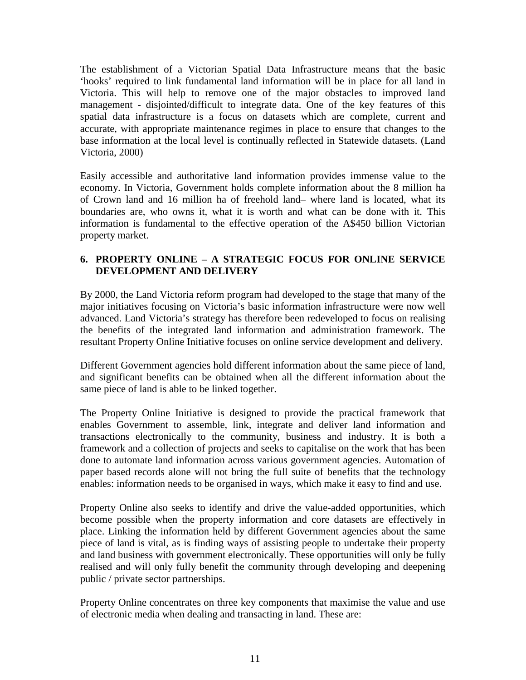The establishment of a Victorian Spatial Data Infrastructure means that the basic 'hooks' required to link fundamental land information will be in place for all land in Victoria. This will help to remove one of the major obstacles to improved land management - disjointed/difficult to integrate data. One of the key features of this spatial data infrastructure is a focus on datasets which are complete, current and accurate, with appropriate maintenance regimes in place to ensure that changes to the base information at the local level is continually reflected in Statewide datasets. (Land Victoria, 2000)

Easily accessible and authoritative land information provides immense value to the economy. In Victoria, Government holds complete information about the 8 million ha of Crown land and 16 million ha of freehold land– where land is located, what its boundaries are, who owns it, what it is worth and what can be done with it. This information is fundamental to the effective operation of the A\$450 billion Victorian property market.

#### **6. PROPERTY ONLINE – A STRATEGIC FOCUS FOR ONLINE SERVICE DEVELOPMENT AND DELIVERY**

By 2000, the Land Victoria reform program had developed to the stage that many of the major initiatives focusing on Victoria's basic information infrastructure were now well advanced. Land Victoria's strategy has therefore been redeveloped to focus on realising the benefits of the integrated land information and administration framework. The resultant Property Online Initiative focuses on online service development and delivery.

Different Government agencies hold different information about the same piece of land, and significant benefits can be obtained when all the different information about the same piece of land is able to be linked together.

The Property Online Initiative is designed to provide the practical framework that enables Government to assemble, link, integrate and deliver land information and transactions electronically to the community, business and industry. It is both a framework and a collection of projects and seeks to capitalise on the work that has been done to automate land information across various government agencies. Automation of paper based records alone will not bring the full suite of benefits that the technology enables: information needs to be organised in ways, which make it easy to find and use.

Property Online also seeks to identify and drive the value-added opportunities, which become possible when the property information and core datasets are effectively in place. Linking the information held by different Government agencies about the same piece of land is vital, as is finding ways of assisting people to undertake their property and land business with government electronically. These opportunities will only be fully realised and will only fully benefit the community through developing and deepening public / private sector partnerships.

Property Online concentrates on three key components that maximise the value and use of electronic media when dealing and transacting in land. These are: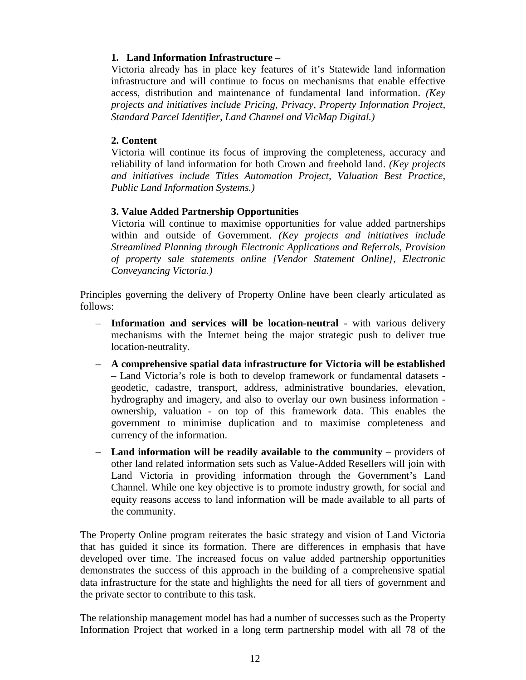#### **1. Land Information Infrastructure –**

Victoria already has in place key features of it's Statewide land information infrastructure and will continue to focus on mechanisms that enable effective access, distribution and maintenance of fundamental land information. *(Key projects and initiatives include Pricing, Privacy, Property Information Project, Standard Parcel Identifier, Land Channel and VicMap Digital.)*

#### **2. Content**

Victoria will continue its focus of improving the completeness, accuracy and reliability of land information for both Crown and freehold land. *(Key projects and initiatives include Titles Automation Project, Valuation Best Practice, Public Land Information Systems.)*

#### **3. Value Added Partnership Opportunities**

Victoria will continue to maximise opportunities for value added partnerships within and outside of Government. *(Key projects and initiatives include Streamlined Planning through Electronic Applications and Referrals, Provision of property sale statements online [Vendor Statement Online], Electronic Conveyancing Victoria.)*

Principles governing the delivery of Property Online have been clearly articulated as follows:

- **Information and services will be location-neutral** with various delivery mechanisms with the Internet being the major strategic push to deliver true location-neutrality.
- **A comprehensive spatial data infrastructure for Victoria will be established** – Land Victoria's role is both to develop framework or fundamental datasets geodetic, cadastre, transport, address, administrative boundaries, elevation, hydrography and imagery, and also to overlay our own business information ownership, valuation - on top of this framework data. This enables the government to minimise duplication and to maximise completeness and currency of the information.
- **Land information will be readily available to the community**  providers of other land related information sets such as Value-Added Resellers will join with Land Victoria in providing information through the Government's Land Channel. While one key objective is to promote industry growth, for social and equity reasons access to land information will be made available to all parts of the community.

The Property Online program reiterates the basic strategy and vision of Land Victoria that has guided it since its formation. There are differences in emphasis that have developed over time. The increased focus on value added partnership opportunities demonstrates the success of this approach in the building of a comprehensive spatial data infrastructure for the state and highlights the need for all tiers of government and the private sector to contribute to this task.

The relationship management model has had a number of successes such as the Property Information Project that worked in a long term partnership model with all 78 of the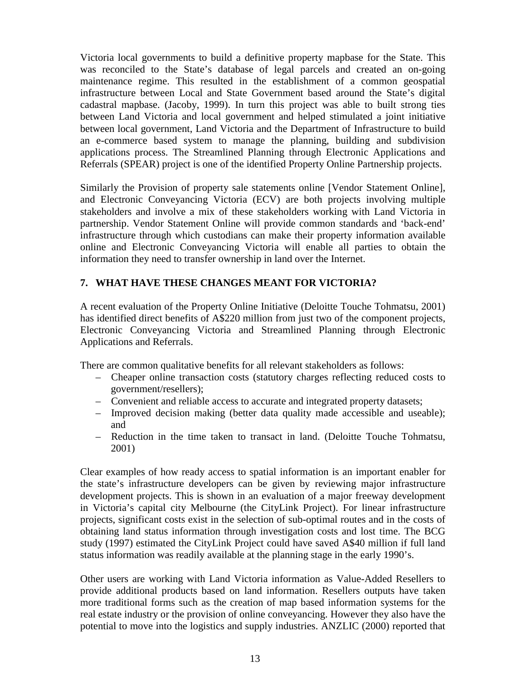Victoria local governments to build a definitive property mapbase for the State. This was reconciled to the State's database of legal parcels and created an on-going maintenance regime. This resulted in the establishment of a common geospatial infrastructure between Local and State Government based around the State's digital cadastral mapbase. (Jacoby, 1999). In turn this project was able to built strong ties between Land Victoria and local government and helped stimulated a joint initiative between local government, Land Victoria and the Department of Infrastructure to build an e-commerce based system to manage the planning, building and subdivision applications process. The Streamlined Planning through Electronic Applications and Referrals (SPEAR) project is one of the identified Property Online Partnership projects.

Similarly the Provision of property sale statements online [Vendor Statement Online], and Electronic Conveyancing Victoria (ECV) are both projects involving multiple stakeholders and involve a mix of these stakeholders working with Land Victoria in partnership. Vendor Statement Online will provide common standards and 'back-end' infrastructure through which custodians can make their property information available online and Electronic Conveyancing Victoria will enable all parties to obtain the information they need to transfer ownership in land over the Internet.

### **7. WHAT HAVE THESE CHANGES MEANT FOR VICTORIA?**

A recent evaluation of the Property Online Initiative (Deloitte Touche Tohmatsu, 2001) has identified direct benefits of A\$220 million from just two of the component projects, Electronic Conveyancing Victoria and Streamlined Planning through Electronic Applications and Referrals.

There are common qualitative benefits for all relevant stakeholders as follows:

- Cheaper online transaction costs (statutory charges reflecting reduced costs to government/resellers);
- Convenient and reliable access to accurate and integrated property datasets;
- Improved decision making (better data quality made accessible and useable); and
- Reduction in the time taken to transact in land. (Deloitte Touche Tohmatsu, 2001)

Clear examples of how ready access to spatial information is an important enabler for the state's infrastructure developers can be given by reviewing major infrastructure development projects. This is shown in an evaluation of a major freeway development in Victoria's capital city Melbourne (the CityLink Project). For linear infrastructure projects, significant costs exist in the selection of sub-optimal routes and in the costs of obtaining land status information through investigation costs and lost time. The BCG study (1997) estimated the CityLink Project could have saved A\$40 million if full land status information was readily available at the planning stage in the early 1990's.

Other users are working with Land Victoria information as Value-Added Resellers to provide additional products based on land information. Resellers outputs have taken more traditional forms such as the creation of map based information systems for the real estate industry or the provision of online conveyancing. However they also have the potential to move into the logistics and supply industries. ANZLIC (2000) reported that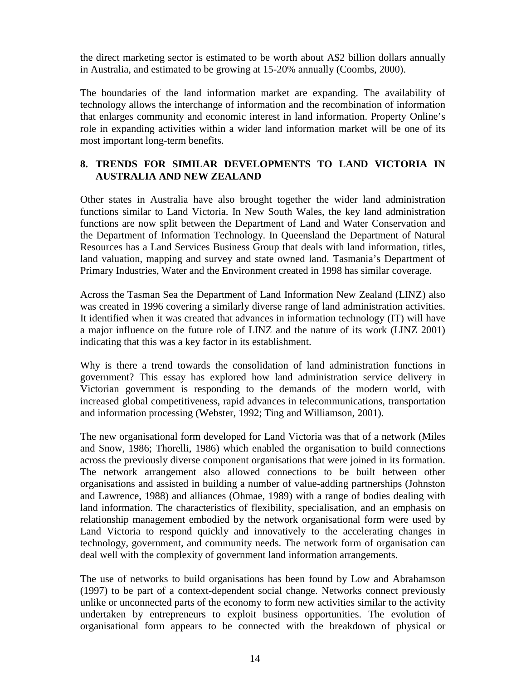the direct marketing sector is estimated to be worth about A\$2 billion dollars annually in Australia, and estimated to be growing at 15-20% annually (Coombs, 2000).

The boundaries of the land information market are expanding. The availability of technology allows the interchange of information and the recombination of information that enlarges community and economic interest in land information. Property Online's role in expanding activities within a wider land information market will be one of its most important long-term benefits.

### **8. TRENDS FOR SIMILAR DEVELOPMENTS TO LAND VICTORIA IN AUSTRALIA AND NEW ZEALAND**

Other states in Australia have also brought together the wider land administration functions similar to Land Victoria. In New South Wales, the key land administration functions are now split between the Department of Land and Water Conservation and the Department of Information Technology. In Queensland the Department of Natural Resources has a Land Services Business Group that deals with land information, titles, land valuation, mapping and survey and state owned land. Tasmania's Department of Primary Industries, Water and the Environment created in 1998 has similar coverage.

Across the Tasman Sea the Department of Land Information New Zealand (LINZ) also was created in 1996 covering a similarly diverse range of land administration activities. It identified when it was created that advances in information technology (IT) will have a major influence on the future role of LINZ and the nature of its work (LINZ 2001) indicating that this was a key factor in its establishment.

Why is there a trend towards the consolidation of land administration functions in government? This essay has explored how land administration service delivery in Victorian government is responding to the demands of the modern world, with increased global competitiveness, rapid advances in telecommunications, transportation and information processing (Webster, 1992; Ting and Williamson, 2001).

The new organisational form developed for Land Victoria was that of a network (Miles and Snow, 1986; Thorelli, 1986) which enabled the organisation to build connections across the previously diverse component organisations that were joined in its formation. The network arrangement also allowed connections to be built between other organisations and assisted in building a number of value-adding partnerships (Johnston and Lawrence, 1988) and alliances (Ohmae, 1989) with a range of bodies dealing with land information. The characteristics of flexibility, specialisation, and an emphasis on relationship management embodied by the network organisational form were used by Land Victoria to respond quickly and innovatively to the accelerating changes in technology, government, and community needs. The network form of organisation can deal well with the complexity of government land information arrangements.

The use of networks to build organisations has been found by Low and Abrahamson (1997) to be part of a context-dependent social change. Networks connect previously unlike or unconnected parts of the economy to form new activities similar to the activity undertaken by entrepreneurs to exploit business opportunities. The evolution of organisational form appears to be connected with the breakdown of physical or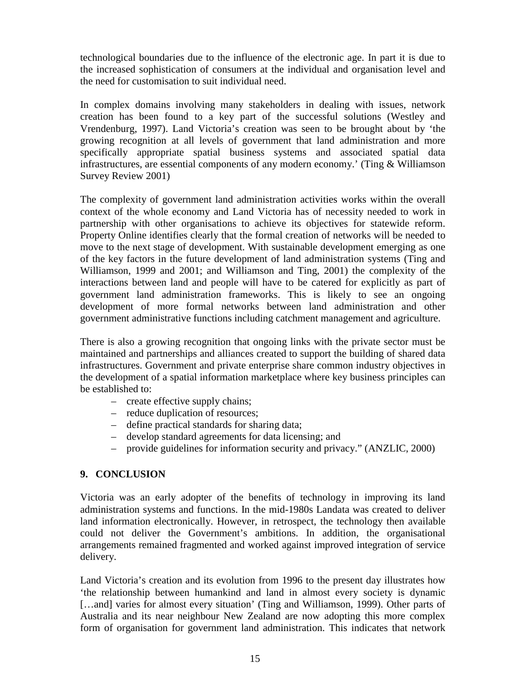technological boundaries due to the influence of the electronic age. In part it is due to the increased sophistication of consumers at the individual and organisation level and the need for customisation to suit individual need.

In complex domains involving many stakeholders in dealing with issues, network creation has been found to a key part of the successful solutions (Westley and Vrendenburg, 1997). Land Victoria's creation was seen to be brought about by 'the growing recognition at all levels of government that land administration and more specifically appropriate spatial business systems and associated spatial data infrastructures, are essential components of any modern economy.' (Ting & Williamson Survey Review 2001)

The complexity of government land administration activities works within the overall context of the whole economy and Land Victoria has of necessity needed to work in partnership with other organisations to achieve its objectives for statewide reform. Property Online identifies clearly that the formal creation of networks will be needed to move to the next stage of development. With sustainable development emerging as one of the key factors in the future development of land administration systems (Ting and Williamson, 1999 and 2001; and Williamson and Ting, 2001) the complexity of the interactions between land and people will have to be catered for explicitly as part of government land administration frameworks. This is likely to see an ongoing development of more formal networks between land administration and other government administrative functions including catchment management and agriculture.

There is also a growing recognition that ongoing links with the private sector must be maintained and partnerships and alliances created to support the building of shared data infrastructures. Government and private enterprise share common industry objectives in the development of a spatial information marketplace where key business principles can be established to:

- create effective supply chains;
- reduce duplication of resources;
- define practical standards for sharing data;
- develop standard agreements for data licensing; and
- provide guidelines for information security and privacy." (ANZLIC, 2000)

#### **9. CONCLUSION**

Victoria was an early adopter of the benefits of technology in improving its land administration systems and functions. In the mid-1980s Landata was created to deliver land information electronically. However, in retrospect, the technology then available could not deliver the Government's ambitions. In addition, the organisational arrangements remained fragmented and worked against improved integration of service delivery.

Land Victoria's creation and its evolution from 1996 to the present day illustrates how 'the relationship between humankind and land in almost every society is dynamic [...and] varies for almost every situation' (Ting and Williamson, 1999). Other parts of Australia and its near neighbour New Zealand are now adopting this more complex form of organisation for government land administration. This indicates that network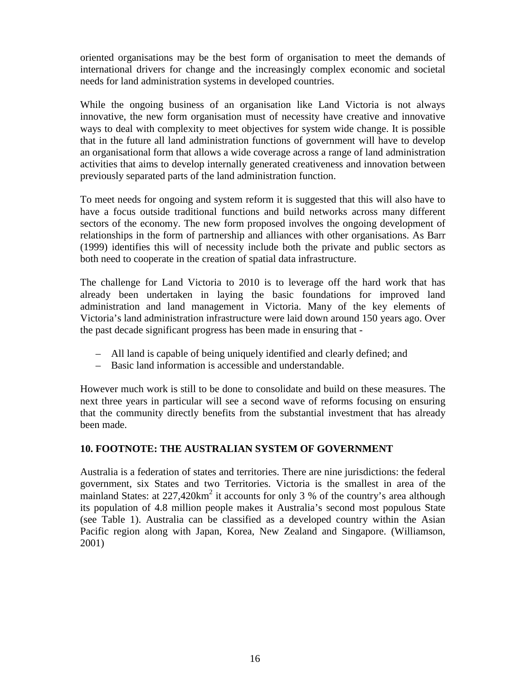oriented organisations may be the best form of organisation to meet the demands of international drivers for change and the increasingly complex economic and societal needs for land administration systems in developed countries.

While the ongoing business of an organisation like Land Victoria is not always innovative, the new form organisation must of necessity have creative and innovative ways to deal with complexity to meet objectives for system wide change. It is possible that in the future all land administration functions of government will have to develop an organisational form that allows a wide coverage across a range of land administration activities that aims to develop internally generated creativeness and innovation between previously separated parts of the land administration function.

To meet needs for ongoing and system reform it is suggested that this will also have to have a focus outside traditional functions and build networks across many different sectors of the economy. The new form proposed involves the ongoing development of relationships in the form of partnership and alliances with other organisations. As Barr (1999) identifies this will of necessity include both the private and public sectors as both need to cooperate in the creation of spatial data infrastructure.

The challenge for Land Victoria to 2010 is to leverage off the hard work that has already been undertaken in laying the basic foundations for improved land administration and land management in Victoria. Many of the key elements of Victoria's land administration infrastructure were laid down around 150 years ago. Over the past decade significant progress has been made in ensuring that -

- All land is capable of being uniquely identified and clearly defined; and
- Basic land information is accessible and understandable.

However much work is still to be done to consolidate and build on these measures. The next three years in particular will see a second wave of reforms focusing on ensuring that the community directly benefits from the substantial investment that has already been made.

# **10. FOOTNOTE: THE AUSTRALIAN SYSTEM OF GOVERNMENT**

Australia is a federation of states and territories. There are nine jurisdictions: the federal government, six States and two Territories. Victoria is the smallest in area of the mainland States: at  $227,420 \text{km}^2$  it accounts for only 3 % of the country's area although its population of 4.8 million people makes it Australia's second most populous State (see Table 1). Australia can be classified as a developed country within the Asian Pacific region along with Japan, Korea, New Zealand and Singapore. (Williamson, 2001)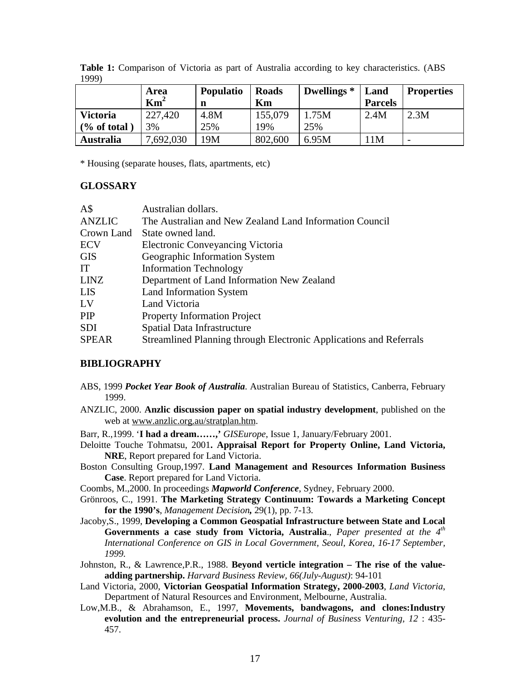|                                           | Area<br>$\text{Km}^2$ | <b>Populatio</b><br>n | <b>Roads</b><br>Km | Dwellings <sup>*</sup> | Land<br><b>Parcels</b> | <b>Properties</b>        |
|-------------------------------------------|-----------------------|-----------------------|--------------------|------------------------|------------------------|--------------------------|
| <b>Victoria</b><br>$\frac{6}{6}$ of total | 227,420<br>3%         | 4.8M<br>25%           | 155,079<br>19%     | 1.75M<br>25%           | 2.4M                   | 2.3M                     |
| <b>Australia</b>                          | ,692,030              | 19M                   | 802,600            | 6.95M                  | 1 <sub>M</sub>         | $\overline{\phantom{0}}$ |

**Table 1:** Comparison of Victoria as part of Australia according to key characteristics. (ABS 1999)

\* Housing (separate houses, flats, apartments, etc)

#### **GLOSSARY**

| A\$           | Australian dollars.                                                |
|---------------|--------------------------------------------------------------------|
| <b>ANZLIC</b> | The Australian and New Zealand Land Information Council            |
| Crown Land    | State owned land.                                                  |
| <b>ECV</b>    | <b>Electronic Conveyancing Victoria</b>                            |
| <b>GIS</b>    | Geographic Information System                                      |
| IT            | <b>Information Technology</b>                                      |
| <b>LINZ</b>   | Department of Land Information New Zealand                         |
| <b>LIS</b>    | Land Information System                                            |
| LV            | Land Victoria                                                      |
| PIP           | <b>Property Information Project</b>                                |
| <b>SDI</b>    | Spatial Data Infrastructure                                        |
| <b>SPEAR</b>  | Streamlined Planning through Electronic Applications and Referrals |

#### **BIBLIOGRAPHY**

- ABS, 1999 *Pocket Year Book of Australia*. Australian Bureau of Statistics, Canberra, February 1999.
- ANZLIC, 2000. **Anzlic discussion paper on spatial industry development**, published on the web at www.anzlic.org.au/stratplan.htm.
- Barr, R.,1999. '**I had a dream……,'** *GISEurope*, Issue 1, January/February 2001.
- Deloitte Touche Tohmatsu, 2001**. Appraisal Report for Property Online, Land Victoria, NRE**, Report prepared for Land Victoria.
- Boston Consulting Group,1997. **Land Management and Resources Information Business Case**. Report prepared for Land Victoria.
- Coombs, M.,2000. In proceedings *Mapworld Conference*, Sydney, February 2000.
- Grönroos, C., 1991. **The Marketing Strategy Continuum: Towards a Marketing Concept for the 1990's**, *Management Decision,* 29(1), pp. 7-13.
- Jacoby,S., 1999, **Developing a Common Geospatial Infrastructure between State and Local Governments a case study from Victoria, Australia**., *Paper presented at the 4th International Conference on GIS in Local Government, Seoul, Korea, 16-17 September, 1999.*
- Johnston, R., & Lawrence,P.R., 1988. **Beyond verticle integration The rise of the valueadding partnership.** *Harvard Business Review, 66(July-August)*: 94-101
- Land Victoria, 2000, **Victorian Geospatial Information Strategy, 2000-2003**, *Land Victoria*, Department of Natural Resources and Environment, Melbourne, Australia.
- Low,M.B., & Abrahamson, E., 1997, **Movements, bandwagons, and clones:Industry evolution and the entrepreneurial process.** *Journal of Business Venturing, 12* : 435- 457.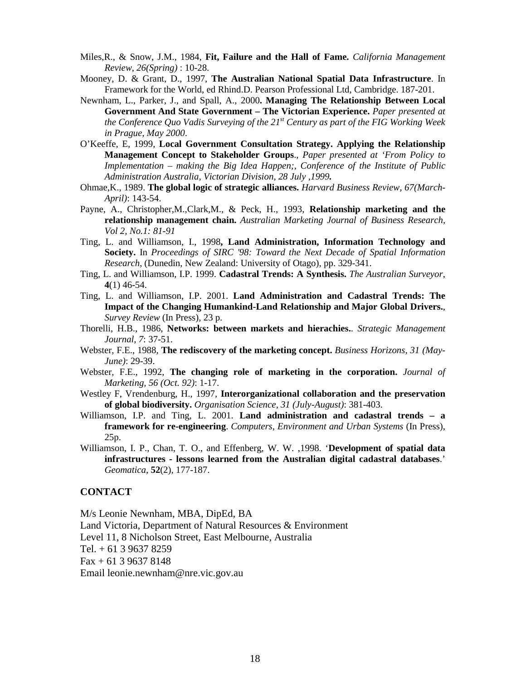- Miles,R., & Snow, J.M., 1984, **Fit, Failure and the Hall of Fame.** *California Management Review, 26(Spring)* : 10-28.
- Mooney, D. & Grant, D., 1997, **The Australian National Spatial Data Infrastructure**. In Framework for the World, ed Rhind.D. Pearson Professional Ltd, Cambridge. 187-201.
- Newnham, L., Parker, J., and Spall, A., 2000**. Managing The Relationship Between Local Government And State Government – The Victorian Experience.** *Paper presented at the Conference Quo Vadis Surveying of the 21st Century as part of the FIG Working Week in Prague, May 2000*.
- O'Keeffe, E, 1999, **Local Government Consultation Strategy. Applying the Relationship Management Concept to Stakeholder Groups**., *Paper presented at 'From Policy to Implementation – making the Big Idea Happen;, Conference of the Institute of Public Administration Australia, Victorian Division, 28 July ,1999.*
- Ohmae,K., 1989. **The global logic of strategic alliances.** *Harvard Business Review, 67(March-April)*: 143-54.
- Payne, A., Christopher,M.,Clark,M., & Peck, H., 1993, **Relationship marketing and the relationship management chain.** *Australian Marketing Journal of Business Research, Vol 2, No.1: 81-91*
- Ting, L. and Williamson, I., 1998**, Land Administration, Information Technology and Society.** In *Proceedings of SIRC '98: Toward the Next Decade of Spatial Information Research*, (Dunedin, New Zealand: University of Otago), pp. 329-341.
- Ting, L. and Williamson, I.P. 1999. **Cadastral Trends: A Synthesis.** *The Australian Surveyor*, **4**(1) 46-54.
- Ting, L. and Williamson, I.P. 2001. **Land Administration and Cadastral Trends: The Impact of the Changing Humankind-Land Relationship and Major Global Drivers.**, *Survey Review* (In Press), 23 p.
- Thorelli, H.B., 1986, **Networks: between markets and hierachies.**. *Strategic Management Journal, 7*: 37-51.
- Webster, F.E., 1988, **The rediscovery of the marketing concept.** *Business Horizons, 31 (May-June)*: 29-39.
- Webster, F.E., 1992, **The changing role of marketing in the corporation.** *Journal of Marketing, 56 (Oct. 92)*: 1-17.
- Westley F, Vrendenburg, H., 1997, **Interorganizational collaboration and the preservation of global biodiversity.** *Organisation Science, 31 (July-August)*: 381-403.
- Williamson, I.P. and Ting, L. 2001. **Land administration and cadastral trends a framework for re-engineering**. *Computers, Environment and Urban Systems* (In Press), 25p.
- Williamson, I. P., Chan, T. O., and Effenberg, W. W. ,1998. '**Development of spatial data infrastructures - lessons learned from the Australian digital cadastral databases**.' *Geomatica*, **52**(2), 177-187.

#### **CONTACT**

M/s Leonie Newnham, MBA, DipEd, BA

Land Victoria, Department of Natural Resources & Environment

Level 11, 8 Nicholson Street, East Melbourne, Australia

Tel.  $+ 61$  3 9637 8259

 $Fax + 61 3 9637 8148$ 

Email leonie.newnham@nre.vic.gov.au